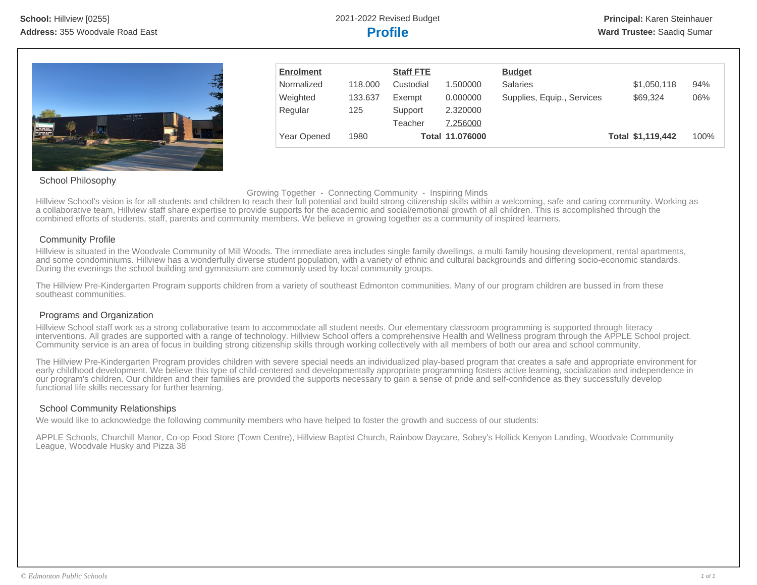

| <b>Enrolment</b> |         | <b>Staff FTE</b> |                 | <b>Budget</b>              |                   |      |
|------------------|---------|------------------|-----------------|----------------------------|-------------------|------|
| Normalized       | 118,000 | Custodial        | 1.500000        | <b>Salaries</b>            | \$1,050,118       | 94%  |
| Weighted         | 133.637 | Exempt           | 0.000000        | Supplies, Equip., Services | \$69,324          | 06%  |
| Regular          | 125     | Support          | 2.320000        |                            |                   |      |
|                  |         | Teacher          | 7.256000        |                            |                   |      |
| Year Opened      | 1980    |                  | Total 11.076000 |                            | Total \$1,119,442 | 100% |

## School Philosophy

Growing Together - Connecting Community - Inspiring Minds

Hillview School's vision is for all students and children to reach their full potential and build strong citizenship skills within a welcoming, safe and caring community. Working as a collaborative team, Hillview staff share expertise to provide supports for the academic and social/emotional growth of all children. This is accomplished through the combined efforts of students, staff, parents and community members. We believe in growing together as a community of inspired learners.

## Community Profile

Hillview is situated in the Woodvale Community of Mill Woods. The immediate area includes single family dwellings, a multi family housing development, rental apartments, and some condominiums. Hillview has a wonderfully diverse student population, with a variety of ethnic and cultural backgrounds and differing socio-economic standards. During the evenings the school building and gymnasium are commonly used by local community groups.

The Hillview Pre-Kindergarten Program supports children from a variety of southeast Edmonton communities. Many of our program children are bussed in from these southeast communities.

## Programs and Organization

Hillview School staff work as a strong collaborative team to accommodate all student needs. Our elementary classroom programming is supported through literacy interventions. All grades are supported with a range of technology. Hillview School offers a comprehensive Health and Wellness program through the APPLE School project. Community service is an area of focus in building strong citizenship skills through working collectively with all members of both our area and school community.

The Hillview Pre-Kindergarten Program provides children with severe special needs an individualized play-based program that creates a safe and appropriate environment for early childhood development. We believe this type of child-centered and developmentally appropriate programming fosters active learning, socialization and independence in our program's children. Our children and their families are provided the supports necessary to gain a sense of pride and self-confidence as they successfully develop functional life skills necessary for further learning.

## School Community Relationships

We would like to acknowledge the following community members who have helped to foster the growth and success of our students:

APPLE Schools, Churchill Manor, Co-op Food Store (Town Centre), Hillview Baptist Church, Rainbow Daycare, Sobey's Hollick Kenyon Landing, Woodvale Community League, Woodvale Husky and Pizza 38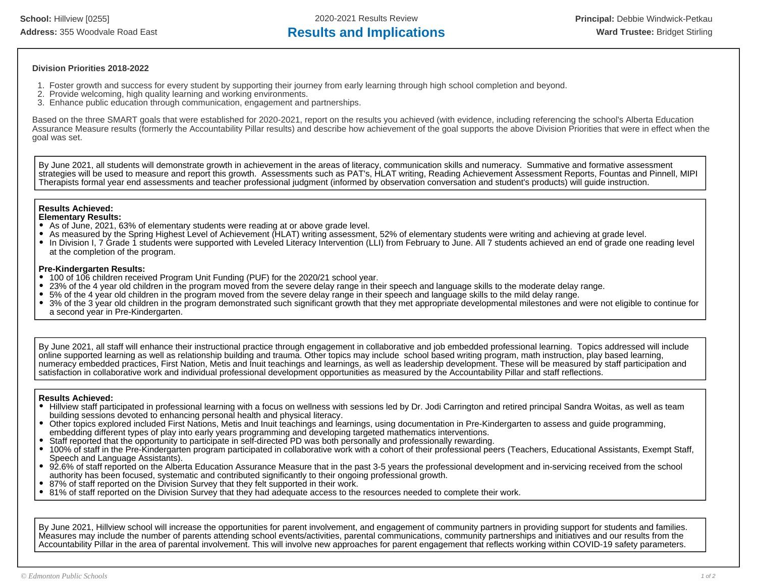**School:** Hillview [0255] 2020-2021 Results Review **Principal:** Debbie Windwick-Petkau Address: 355 Woodvale Road East **Results and Implications Results and Implications Ward Trustee:** Bridget Stirling

#### **Division Priorities 2018-2022**

- 1. Foster growth and success for every student by supporting their journey from early learning through high school completion and beyond.
- 2. Provide welcoming, high quality learning and working environments.
- 3. Enhance public education through communication, engagement and partnerships.

Based on the three SMART goals that were established for 2020-2021, report on the results you achieved (with evidence, including referencing the school's Alberta Education Assurance Measure results (formerly the Accountability Pillar results) and describe how achievement of the goal supports the above Division Priorities that were in effect when the goal was set.

By June 2021, all students will demonstrate growth in achievement in the areas of literacy, communication skills and numeracy. Summative and formative assessment strategies will be used to measure and report this growth. Assessments such as PAT's, HLAT writing, Reading Achievement Assessment Reports, Fountas and Pinnell, MIPI Therapists formal year end assessments and teacher professional judgment (informed by observation conversation and student's products) will guide instruction.

## **Results Achieved:**

#### **Elementary Results:**

- As of June, 2021, 63% of elementary students were reading at or above grade level.
- As measured by the Spring Highest Level of Achievement (HLAT) writing assessment, 52% of elementary students were writing and achieving at grade level.
- In Division I, 7 Grade 1 students were supported with Leveled Literacy Intervention (LLI) from February to June. All 7 students achieved an end of grade one reading level at the completion of the program.

#### **Pre-Kindergarten Results:**

- 100 of 106 children received Program Unit Funding (PUF) for the 2020/21 school year.
- 23% of the 4 year old children in the program moved from the severe delay range in their speech and language skills to the moderate delay range.
- 5% of the 4 year old children in the program moved from the severe delay range in their speech and language skills to the mild delay range.
- 3% of the 3 year old children in the program demonstrated such significant growth that they met appropriate developmental milestones and were not eligible to continue for a second year in Pre-Kindergarten.

By June 2021, all staff will enhance their instructional practice through engagement in collaborative and job embedded professional learning. Topics addressed will include online supported learning as well as relationship building and trauma. Other topics may include school based writing program, math instruction, play based learning, numeracy embedded practices, First Nation, Metis and Inuit teachings and learnings, as well as leadership development. These will be measured by staff participation and satisfaction in collaborative work and individual professional development opportunities as measured by the Accountability Pillar and staff reflections.

#### **Results Achieved:**

- Hillview staff participated in professional learning with a focus on wellness with sessions led by Dr. Jodi Carrington and retired principal Sandra Woitas, as well as team building sessions devoted to enhancing personal health and physical literacy.
- Other topics explored included First Nations, Metis and Inuit teachings and learnings, using documentation in Pre-Kindergarten to assess and guide programming, embedding different types of play into early years programming and developing targeted mathematics interventions.
- Staff reported that the opportunity to participate in self-directed PD was both personally and professionally rewarding.
- 100% of staff in the Pre-Kindergarten program participated in collaborative work with a cohort of their professional peers (Teachers, Educational Assistants, Exempt Staff, Speech and Language Assistants).
- 92.6% of staff reported on the Alberta Education Assurance Measure that in the past 3-5 years the professional development and in-servicing received from the school authority has been focused, systematic and contributed significantly to their ongoing professional growth.
- 87% of staff reported on the Division Survey that they felt supported in their work.
- 81% of staff reported on the Division Survey that they had adequate access to the resources needed to complete their work.

By June 2021, Hillview school will increase the opportunities for parent involvement, and engagement of community partners in providing support for students and families. Measures may include the number of parents attending school events/activities, parental communications, community partnerships and initiatives and our results from the Accountability Pillar in the area of parental involvement. This will involve new approaches for parent engagement that reflects working within COVID-19 safety parameters.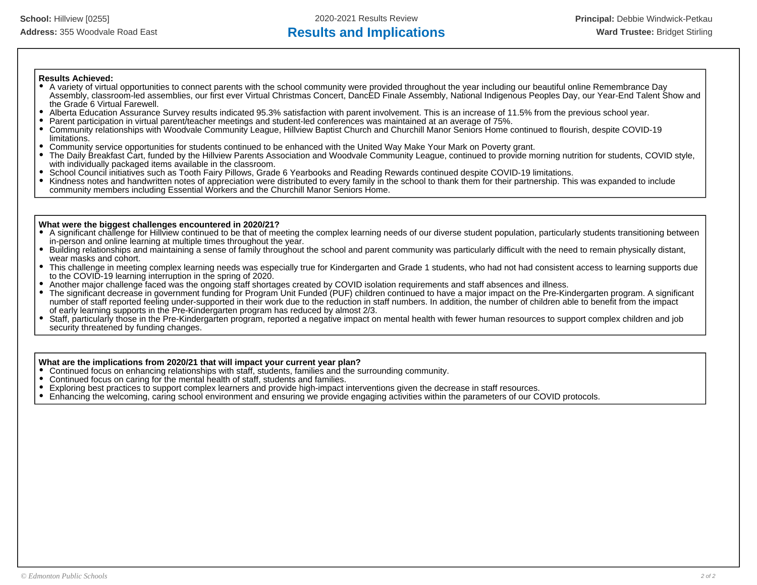## **Results Achieved:**

- A variety of virtual opportunities to connect parents with the school community were provided throughout the year including our beautiful online Remembrance Day Assembly, classroom-led assemblies, our first ever Virtual Christmas Concert, DancED Finale Assembly, National Indigenous Peoples Day, our Year-End Talent Show and the Grade 6 Virtual Farewell.
- Alberta Education Assurance Survey results indicated 95.3% satisfaction with parent involvement. This is an increase of 11.5% from the previous school year.  $\bullet$
- $\bullet$ Parent participation in virtual parent/teacher meetings and student-led conferences was maintained at an average of 75%.
- Community relationships with Woodvale Community League, Hillview Baptist Church and Churchill Manor Seniors Home continued to flourish, despite COVID-19  $\bullet$ limitations.
- Community service opportunities for students continued to be enhanced with the United Way Make Your Mark on Poverty grant.
- The Daily Breakfast Cart, funded by the Hillview Parents Association and Woodvale Community League, continued to provide morning nutrition for students, COVID style, with individually packaged items available in the classroom.
- School Council initiatives such as Tooth Fairy Pillows, Grade 6 Yearbooks and Reading Rewards continued despite COVID-19 limitations.
- $\bullet$ Kindness notes and handwritten notes of appreciation were distributed to every family in the school to thank them for their partnership. This was expanded to include community members including Essential Workers and the Churchill Manor Seniors Home.

### **What were the biggest challenges encountered in 2020/21?**

- A significant challenge for Hillview continued to be that of meeting the complex learning needs of our diverse student population, particularly students transitioning between in-person and online learning at multiple times throughout the year.
- Building relationships and maintaining a sense of family throughout the school and parent community was particularly difficult with the need to remain physically distant, wear masks and cohort.
- $\bullet$ This challenge in meeting complex learning needs was especially true for Kindergarten and Grade 1 students, who had not had consistent access to learning supports due to the COVID-19 learning interruption in the spring of 2020.
- Another major challenge faced was the ongoing staff shortages created by COVID isolation requirements and staff absences and illness.
- $\bullet$ The significant decrease in government funding for Program Unit Funded (PUF) children continued to have a major impact on the Pre-Kindergarten program. A significant number of staff reported feeling under-supported in their work due to the reduction in staff numbers. In addition, the number of children able to benefit from the impact of early learning supports in the Pre-Kindergarten program has reduced by almost 2/3.
- $\bullet$ Staff, particularly those in the Pre-Kindergarten program, reported a negative impact on mental health with fewer human resources to support complex children and job security threatened by funding changes.

## **What are the implications from 2020/21 that will impact your current year plan?**

- Continued focus on enhancing relationships with staff, students, families and the surrounding community.
- Continued focus on caring for the mental health of staff, students and families.
- Exploring best practices to support complex learners and provide high-impact interventions given the decrease in staff resources.
- $\bullet$ Enhancing the welcoming, caring school environment and ensuring we provide engaging activities within the parameters of our COVID protocols.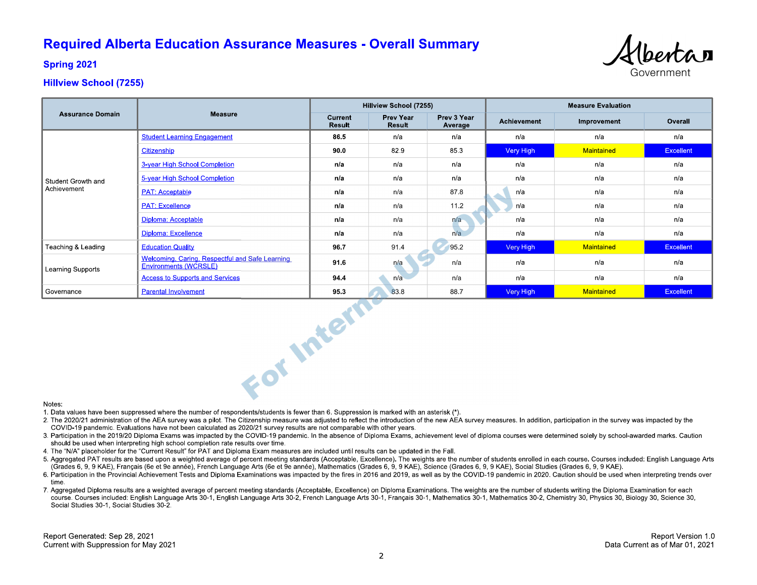# **Required Alberta Education Assurance Measures - Overall Summary**



**Spring 2021** 

## **Hillview School (7255)**

| <b>Assurance Domain</b>  |                                                                          | Hillview School (7255) |                            |                        | <b>Measure Evaluation</b> |             |                  |  |  |
|--------------------------|--------------------------------------------------------------------------|------------------------|----------------------------|------------------------|---------------------------|-------------|------------------|--|--|
|                          | <b>Measure</b>                                                           | Current<br>Result      | <b>Prev Year</b><br>Result | Prev 3 Year<br>Average | Achievement               | Improvement | Overall          |  |  |
|                          | <b>Student Learning Engagement</b>                                       | 86.5                   | n/a                        | n/a                    | n/a                       | n/a         | n/a              |  |  |
|                          | Citizenship                                                              | 90.0                   | 829                        | 853                    | Very High                 | Maintained  | <b>Excellent</b> |  |  |
|                          | 3-year High School Completion                                            | n/a                    | n/a                        | n/a                    | n/a                       | n/a         | n/a              |  |  |
| Student Growth and       | 5-year High School Completion                                            | n/a                    | n/a                        | n/a                    | n/a                       | n/a         | n/a              |  |  |
| Achievement              | <b>PAT: Acceptable</b>                                                   | n/a                    | n/a                        | 87.8                   | n/a                       | n/a         | n/a              |  |  |
|                          | <b>PAT: Excellence</b>                                                   | n/a                    | n/a                        | 11.2                   | n/a                       | n/a         | n/a              |  |  |
|                          | Diploma: Acceptable                                                      | n/a                    | n/a                        | n/a                    | n/a                       | n/a         | n/a              |  |  |
|                          | Diploma: Excellence                                                      | n/a                    | n/a                        | n/a                    | n/a                       | n/a         | n/a              |  |  |
| Teaching & Leading       | <b>Education Quality</b>                                                 | 96.7                   | 91.4                       | 95.2                   | Very High                 | Maintained  | <b>Excellent</b> |  |  |
| <b>Learning Supports</b> | Welcoming, Caring, Respectful and Safe Learning<br>Environments (WCRSLE) | 91.6                   | n/a                        | n/a                    | n/a                       | n/a         | n/a              |  |  |
|                          | <b>Access to Supports and Services</b>                                   | 94.4                   | n/a                        | n/a                    | n/a                       | n/a         | n/a              |  |  |
| Governance               | <b>Parental Involvement</b>                                              | 95.3                   | 83.8                       | 88.7                   | Very High                 | Maintained  | <b>Excellent</b> |  |  |
| For Intern<br>Notes.     |                                                                          |                        |                            |                        |                           |             |                  |  |  |

#### Notes:

1. Data values have been suppressed where the number of respondents/students is fewer than 6. Suppression is marked with an asterisk (\*).

- 2. The 2020/21 administration of the AEA survey was a pilot. The Citizenship measure was adjusted to reflect the introduction of the new AEA survey measures. In addition, participation in the survey was impacted by the COVID-19 pandemic. Evaluations have not been calculated as 2020/21 survey results are not comparable with other years.
- 3. Participation in the 2019/20 Diploma Exams was impacted by the COVID-19 pandemic. In the absence of Diploma Exams, achievement level of diploma courses were determined solely by school-awarded marks. Caution should be used when interpreting high school completion rate results over time.
- 4. The "N/A" placeholder for the "Current Result" for PAT and Diploma Exam measures are included until results can be updated in the Fall.
- 5. Aggregated PAT results are based upon a weighted average of percent meeting standards (Acceptable, Excellence). The weights are the number of students enrolled in each course. Courses included: English Language Arts (Grades 6, 9, 9 KAE), Français (6e et 9e année), French Language Arts (6e et 9e année), Mathematics (Grades 6, 9, 9 KAE), Science (Grades 6, 9, 9 KAE), Social Studies (Grades 6, 9, 9 KAE).
- 6. Participation in the Provincial Achievement Tests and Diploma Examinations was impacted by the fires in 2016 and 2019, as well as by the COVID-19 pandemic in 2020. Caution should be used when interpreting trends over time
- 7. Aggregated Diploma results are a weighted average of percent meeting standards (Acceptable, Excellence) on Diploma Examinations. The weights are the number of students writing the Diploma Examination for each course. Courses included: English Language Arts 30-1, English Language Arts 30-2, French Language Arts 30-1, Français 30-1, Mathematics 30-1, Mathematics 30-2, Chemistry 30, Physics 30, Biology 30, Science 30, Social Studies 30-1, Social Studies 30-2.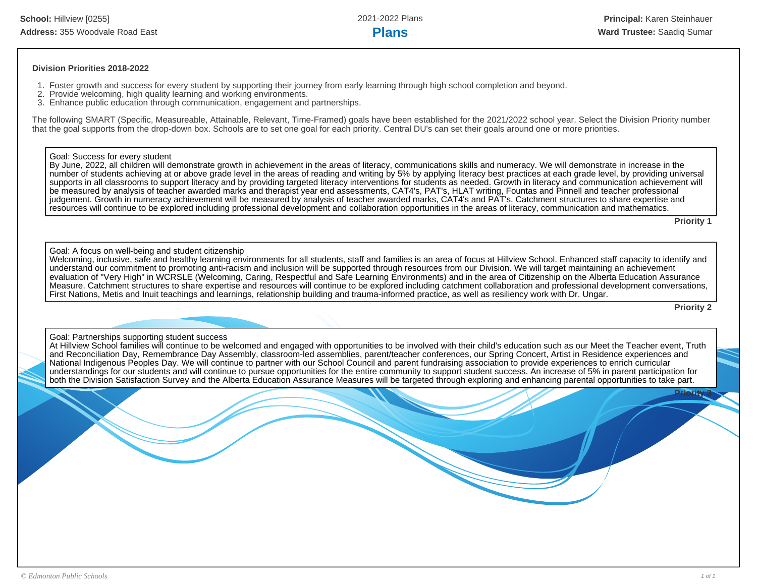#### **Division Priorities 2018-2022**

- 1. Foster growth and success for every student by supporting their journey from early learning through high school completion and beyond.
- 2. Provide welcoming, high quality learning and working environments.
- 3. Enhance public education through communication, engagement and partnerships.

The following SMART (Specific, Measureable, Attainable, Relevant, Time-Framed) goals have been established for the 2021/2022 school year. Select the Division Priority number that the goal supports from the drop-down box. Schools are to set one goal for each priority. Central DU's can set their goals around one or more priorities.

#### Goal: Success for every student

By June, 2022, all children will demonstrate growth in achievement in the areas of literacy, communications skills and numeracy. We will demonstrate in increase in the number of students achieving at or above grade level in the areas of reading and writing by 5% by applying literacy best practices at each grade level, by providing universal supports in all classrooms to support literacy and by providing targeted literacy interventions for students as needed. Growth in literacy and communication achievement will be measured by analysis of teacher awarded marks and therapist year end assessments, CAT4's, PAT's, HLAT writing, Fountas and Pinnell and teacher professional judgement. Growth in numeracy achievement will be measured by analysis of teacher awarded marks, CAT4's and PAT's. Catchment structures to share expertise and resources will continue to be explored including professional development and collaboration opportunities in the areas of literacy, communication and mathematics.

**Priority 1**

#### Goal: A focus on well-being and student citizenship

Welcoming, inclusive, safe and healthy learning environments for all students, staff and families is an area of focus at Hillview School. Enhanced staff capacity to identify and understand our commitment to promoting anti-racism and inclusion will be supported through resources from our Division. We will target maintaining an achievement evaluation of "Very High" in WCRSLE (Welcoming, Caring, Respectful and Safe Learning Environments) and in the area of Citizenship on the Alberta Education Assurance Measure. Catchment structures to share expertise and resources will continue to be explored including catchment collaboration and professional development conversations, First Nations, Metis and Inuit teachings and learnings, relationship building and trauma-informed practice, as well as resiliency work with Dr. Ungar.

**Priority 2**

#### Goal: Partnerships supporting student success

At Hillview School families will continue to be welcomed and engaged with opportunities to be involved with their child's education such as our Meet the Teacher event, Truth and Reconciliation Day, Remembrance Day Assembly, classroom-led assemblies, parent/teacher conferences, our Spring Concert, Artist in Residence experiences and National Indigenous Peoples Day. We will continue to partner with our School Council and parent fundraising association to provide experiences to enrich curricular understandings for our students and will continue to pursue opportunities for the entire community to support student success. An increase of 5% in parent participation for both the Division Satisfaction Survey and the Alberta Education Assurance Measures will be targeted through exploring and enhancing parental opportunities to take part.

**Priority 3**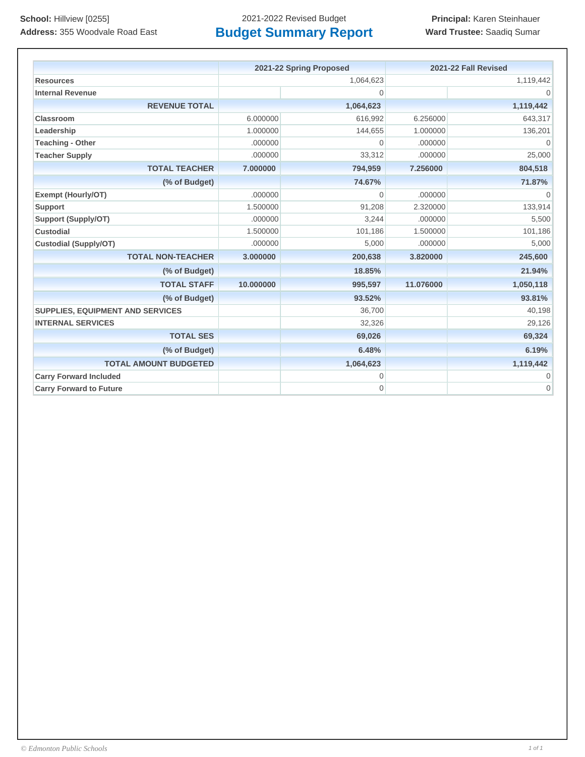**School:** Hillview [0255] 2021-2022 Revised Budget **Principal:** Karen Steinhauer

|                                         | 2021-22 Spring Proposed |                | 2021-22 Fall Revised |              |
|-----------------------------------------|-------------------------|----------------|----------------------|--------------|
| <b>Resources</b>                        | 1,064,623               |                |                      | 1,119,442    |
| <b>Internal Revenue</b>                 |                         | $\overline{0}$ |                      | $\Omega$     |
| <b>REVENUE TOTAL</b>                    |                         | 1,064,623      |                      | 1,119,442    |
| Classroom                               | 6.000000                | 616,992        | 6.256000             | 643,317      |
| Leadership                              | 1.000000                | 144,655        | 1.000000             | 136,201      |
| <b>Teaching - Other</b>                 | .000000                 | $\overline{0}$ | .000000              | $\Omega$     |
| <b>Teacher Supply</b>                   | .000000                 | 33,312         | .000000              | 25,000       |
| <b>TOTAL TEACHER</b>                    | 7.000000                | 794,959        | 7.256000             | 804,518      |
| (% of Budget)                           |                         | 74.67%         |                      | 71.87%       |
| Exempt (Hourly/OT)                      | .000000                 | $\overline{0}$ | .000000              | $\mathbf{0}$ |
| <b>Support</b>                          | 1.500000                | 91,208         | 2.320000             | 133,914      |
| <b>Support (Supply/OT)</b>              | .000000                 | 3,244          | .000000              | 5,500        |
| <b>Custodial</b>                        | 1.500000                | 101,186        | 1.500000             | 101,186      |
| <b>Custodial (Supply/OT)</b>            | .000000                 | 5,000          | .000000              | 5,000        |
| <b>TOTAL NON-TEACHER</b>                | 3.000000                | 200,638        | 3.820000             | 245,600      |
| (% of Budget)                           |                         | 18.85%         |                      | 21.94%       |
| <b>TOTAL STAFF</b>                      | 10.000000               | 995,597        | 11.076000            | 1,050,118    |
| (% of Budget)                           |                         | 93.52%         |                      | 93.81%       |
| <b>SUPPLIES, EQUIPMENT AND SERVICES</b> |                         | 36,700         |                      | 40,198       |
| <b>INTERNAL SERVICES</b>                |                         | 32,326         |                      | 29,126       |
| <b>TOTAL SES</b>                        |                         | 69,026         |                      | 69,324       |
| (% of Budget)                           |                         | 6.48%          |                      | 6.19%        |
| <b>TOTAL AMOUNT BUDGETED</b>            |                         | 1,064,623      |                      | 1,119,442    |
| <b>Carry Forward Included</b>           |                         | $\mathbf 0$    |                      | $\mathbf{0}$ |
| <b>Carry Forward to Future</b>          |                         | 0              |                      | $\mathbf{0}$ |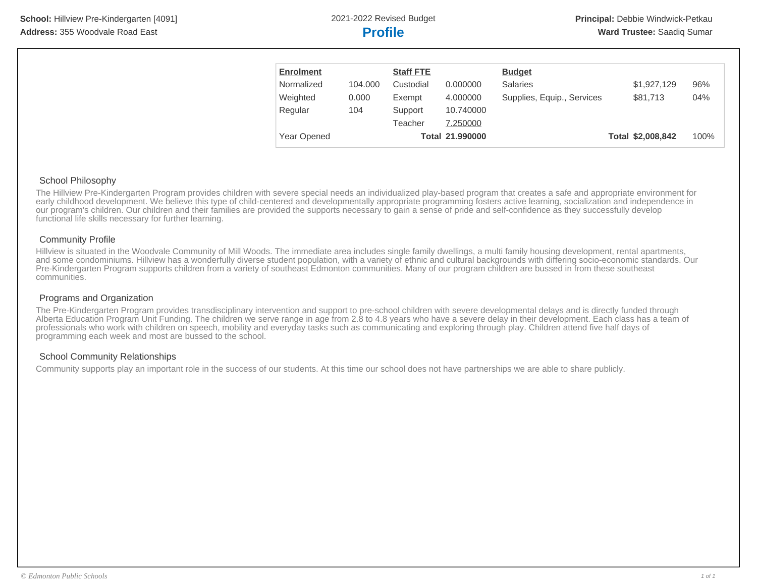| <b>Enrolment</b>   |         | <b>Staff FTE</b> |                 | <b>Budget</b>              |                   |      |
|--------------------|---------|------------------|-----------------|----------------------------|-------------------|------|
| Normalized         | 104.000 | Custodial        | 0.000000        | <b>Salaries</b>            | \$1,927,129       | 96%  |
| Weighted           | 0.000   | Exempt           | 4.000000        | Supplies, Equip., Services | \$81,713          | 04%  |
| Regular            | 104     | Support          | 10.740000       |                            |                   |      |
|                    |         | Teacher          | 7.250000        |                            |                   |      |
| <b>Year Opened</b> |         |                  | Total 21.990000 |                            | Total \$2,008,842 | 100% |

#### School Philosophy

The Hillview Pre-Kindergarten Program provides children with severe special needs an individualized play-based program that creates a safe and appropriate environment for early childhood development. We believe this type of child-centered and developmentally appropriate programming fosters active learning, socialization and independence in our program's children. Our children and their families are provided the supports necessary to gain a sense of pride and self-confidence as they successfully develop functional life skills necessary for further learning.

#### Community Profile

Hillview is situated in the Woodvale Community of Mill Woods. The immediate area includes single family dwellings, a multi family housing development, rental apartments, and some condominiums. Hillview has a wonderfully diverse student population, with a variety of ethnic and cultural backgrounds with differing socio-economic standards. Our Pre-Kindergarten Program supports children from a variety of southeast Edmonton communities. Many of our program children are bussed in from these southeast communities.

#### Programs and Organization

The Pre-Kindergarten Program provides transdisciplinary intervention and support to pre-school children with severe developmental delays and is directly funded through Alberta Education Program Unit Funding. The children we serve range in age from 2.8 to 4.8 years who have a severe delay in their development. Each class has a team of professionals who work with children on speech, mobility and everyday tasks such as communicating and exploring through play. Children attend five half days of programming each week and most are bussed to the school.

#### School Community Relationships

Community supports play an important role in the success of our students. At this time our school does not have partnerships we are able to share publicly.